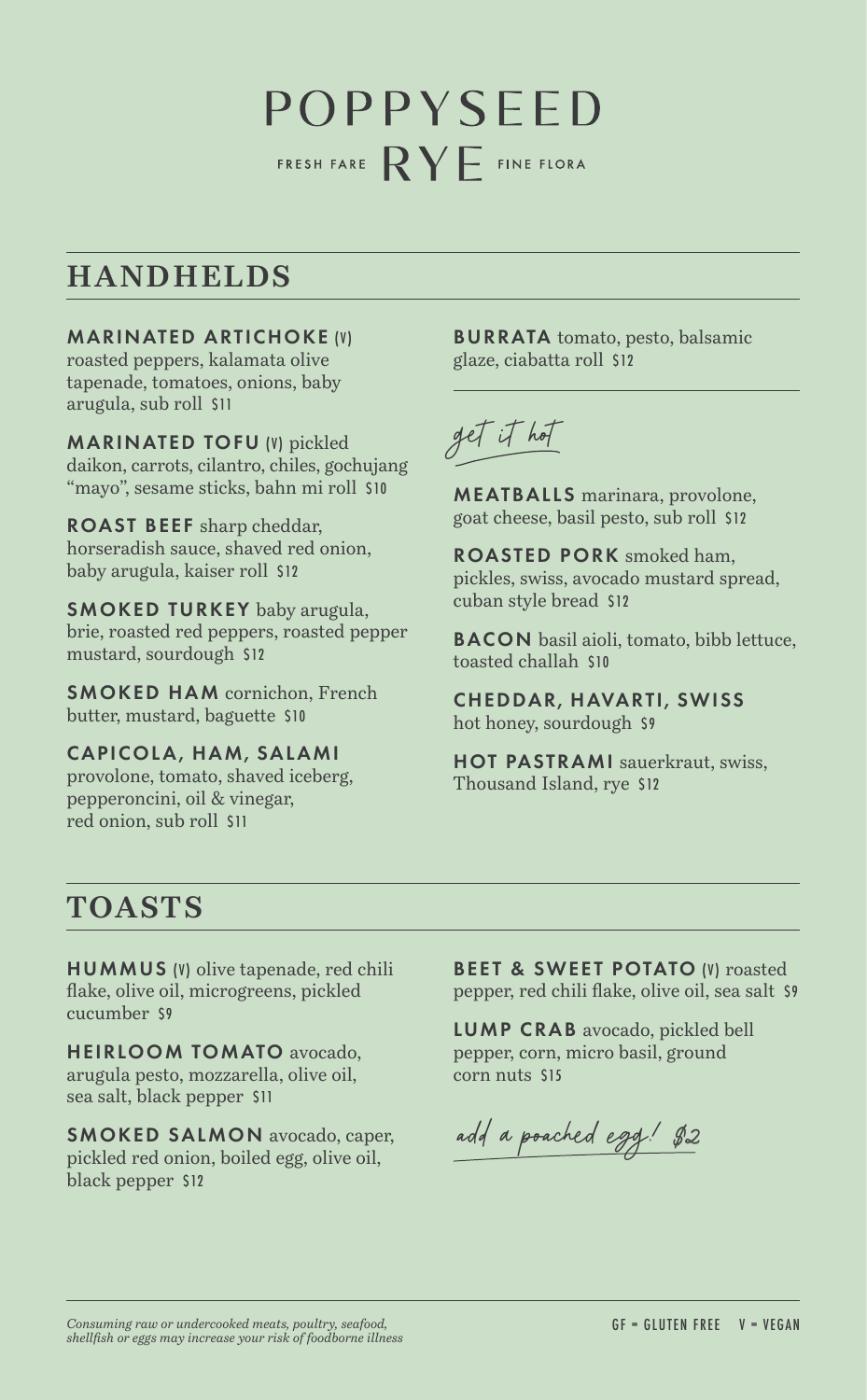## POPPYSEED FRESH FARE  $\mathsf{RY}$  FINE FLORA

## **HANDHELDS**

MARINATED ARTICHOKE (V) roasted peppers, kalamata olive tapenade, tomatoes, onions, baby arugula, sub roll \$11

MARINATED TOFU (V) pickled daikon, carrots, cilantro, chiles, gochujang "mayo", sesame sticks, bahn mi roll \$10

ROAST BEEF sharp cheddar, horseradish sauce, shaved red onion, baby arugula, kaiser roll \$12

SMOKED TURKEY baby arugula, brie, roasted red peppers, roasted pepper mustard, sourdough \$12

SMOKED HAM cornichon, French butter, mustard, baguette \$10

CAPICOLA, HAM, SALAMI provolone, tomato, shaved iceberg, pepperoncini, oil & vinegar, red onion, sub roll \$11

BURRATA tomato, pesto, balsamic glaze, ciabatta roll \$12



MEATBALLS marinara, provolone, goat cheese, basil pesto, sub roll \$12

ROASTED PORK smoked ham, pickles, swiss, avocado mustard spread, cuban style bread \$12

**BACON** basil aioli, tomato, bibb lettuce, toasted challah \$10

CHEDDAR, HAVARTI, SWISS hot honey, sourdough \$9

HOT PASTRAMI sauerkraut, swiss, Thousand Island, rye \$12

## **TOASTS**

HUMMUS (V) olive tapenade, red chili flake, olive oil, microgreens, pickled cucumber \$9

HEIRLOOM TOMATO avocado, arugula pesto, mozzarella, olive oil, sea salt, black pepper \$11

SMOKED SALMON avocado, caper, pickled red onion, boiled egg, olive oil, black pepper \$12

**BEET & SWEET POTATO (V) roasted** pepper, red chili flake, olive oil, sea salt \$9

LUMP CRAB avocado, pickled bell pepper, corn, micro basil, ground corn nuts \$15

add a poached egg! \$2